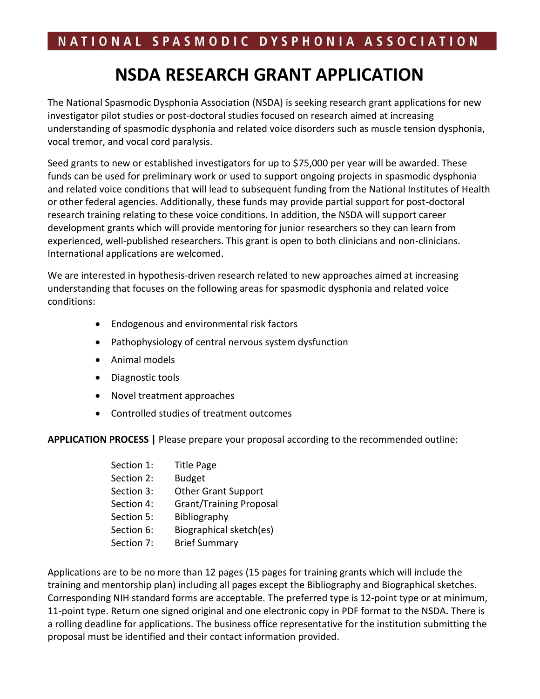### **NSDA RESEARCH GRANT APPLICATION**

The National Spasmodic Dysphonia Association (NSDA) is seeking research grant applications for new investigator pilot studies or post-doctoral studies focused on research aimed at increasing understanding of spasmodic dysphonia and related voice disorders such as muscle tension dysphonia, vocal tremor, and vocal cord paralysis.

Seed grants to new or established investigators for up to \$75,000 per year will be awarded. These funds can be used for preliminary work or used to support ongoing projects in spasmodic dysphonia and related voice conditions that will lead to subsequent funding from the National Institutes of Health or other federal agencies. Additionally, these funds may provide partial support for post-doctoral research training relating to these voice conditions. In addition, the NSDA will support career development grants which will provide mentoring for junior researchers so they can learn from experienced, well-published researchers. This grant is open to both clinicians and non-clinicians. International applications are welcomed.

We are interested in hypothesis-driven research related to new approaches aimed at increasing understanding that focuses on the following areas for spasmodic dysphonia and related voice conditions:

- Endogenous and environmental risk factors
- Pathophysiology of central nervous system dysfunction
- Animal models
- Diagnostic tools
- Novel treatment approaches
- Controlled studies of treatment outcomes

**APPLICATION PROCESS |** Please prepare your proposal according to the recommended outline:

| Section 1: | <b>Title Page</b>              |
|------------|--------------------------------|
| Section 2: | <b>Budget</b>                  |
| Section 3: | <b>Other Grant Support</b>     |
| Section 4: | <b>Grant/Training Proposal</b> |
| Section 5: | Bibliography                   |
| Section 6: | Biographical sketch(es)        |
| Section 7: | <b>Brief Summary</b>           |

Applications are to be no more than 12 pages (15 pages for training grants which will include the training and mentorship plan) including all pages except the Bibliography and Biographical sketches. Corresponding NIH standard forms are acceptable. The preferred type is 12-point type or at minimum, 11-point type. Return one signed original and one electronic copy in PDF format to the NSDA. There is a rolling deadline for applications. The business office representative for the institution submitting the proposal must be identified and their contact information provided.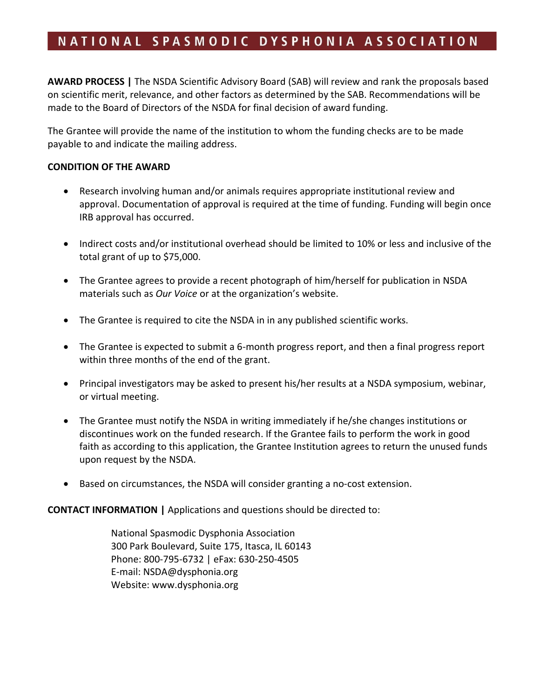**AWARD PROCESS |** The NSDA Scientific Advisory Board (SAB) will review and rank the proposals based on scientific merit, relevance, and other factors as determined by the SAB. Recommendations will be made to the Board of Directors of the NSDA for final decision of award funding.

The Grantee will provide the name of the institution to whom the funding checks are to be made payable to and indicate the mailing address.

#### **CONDITION OF THE AWARD**

- Research involving human and/or animals requires appropriate institutional review and approval. Documentation of approval is required at the time of funding. Funding will begin once IRB approval has occurred.
- Indirect costs and/or institutional overhead should be limited to 10% or less and inclusive of the total grant of up to \$75,000.
- The Grantee agrees to provide a recent photograph of him/herself for publication in NSDA materials such as *Our Voice* or at the organization's website.
- The Grantee is required to cite the NSDA in in any published scientific works.
- The Grantee is expected to submit a 6-month progress report, and then a final progress report within three months of the end of the grant.
- Principal investigators may be asked to present his/her results at a NSDA symposium, webinar, or virtual meeting.
- The Grantee must notify the NSDA in writing immediately if he/she changes institutions or discontinues work on the funded research. If the Grantee fails to perform the work in good faith as according to this application, the Grantee Institution agrees to return the unused funds upon request by the NSDA.
- Based on circumstances, the NSDA will consider granting a no-cost extension.

**CONTACT INFORMATION |** Applications and questions should be directed to:

National Spasmodic Dysphonia Association 300 Park Boulevard, Suite 175, Itasca, IL 60143 Phone: 800-795-6732 | eFax: 630-250-4505 E-mail: [NSDA@dysphonia.org](mailto:NSDA@dysphonia.org) Website: [www.dysphonia.org](http://www.dysphonia.org/)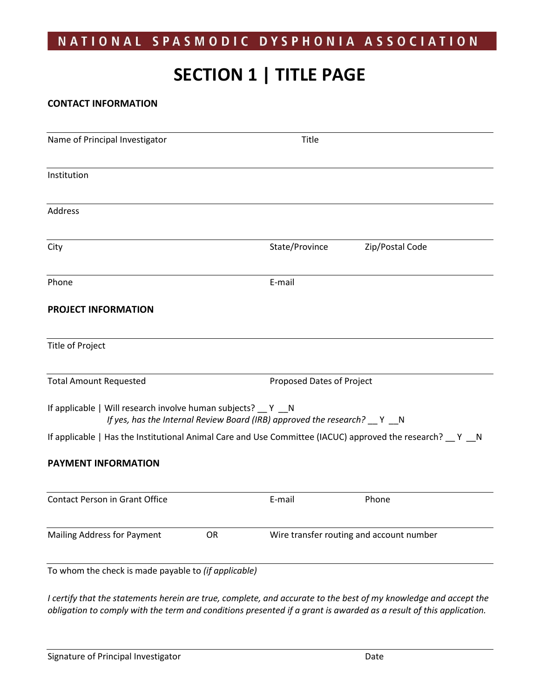## **SECTION 1 | TITLE PAGE**

#### **CONTACT INFORMATION**

| Name of Principal Investigator                                                                               | Title                                                                        |                                          |
|--------------------------------------------------------------------------------------------------------------|------------------------------------------------------------------------------|------------------------------------------|
| Institution                                                                                                  |                                                                              |                                          |
| Address                                                                                                      |                                                                              |                                          |
| City                                                                                                         | State/Province                                                               | Zip/Postal Code                          |
| Phone                                                                                                        | E-mail                                                                       |                                          |
| PROJECT INFORMATION                                                                                          |                                                                              |                                          |
| <b>Title of Project</b>                                                                                      |                                                                              |                                          |
| <b>Total Amount Requested</b>                                                                                | Proposed Dates of Project                                                    |                                          |
| If applicable   Will research involve human subjects? __ Y __ N                                              | If yes, has the Internal Review Board (IRB) approved the research? __ Y __ N |                                          |
| If applicable   Has the Institutional Animal Care and Use Committee (IACUC) approved the research? __ Y __ N |                                                                              |                                          |
| PAYMENT INFORMATION                                                                                          |                                                                              |                                          |
| Contact Person in Grant Office                                                                               | E-mail                                                                       | Phone                                    |
| <b>Mailing Address for Payment</b>                                                                           | OR                                                                           | Wire transfer routing and account number |
| To whom the check is made payable to (if applicable)                                                         |                                                                              |                                          |

*I certify that the statements herein are true, complete, and accurate to the best of my knowledge and accept the obligation to comply with the term and conditions presented if a grant is awarded as a result of this application.*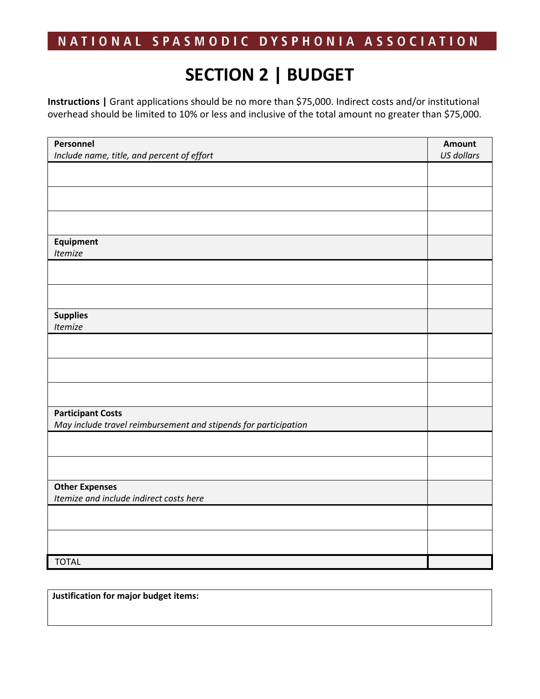# **SECTION 2 | BUDGET**

**Instructions |** Grant applications should be no more than \$75,000. Indirect costs and/or institutional overhead should be limited to 10% or less and inclusive of the total amount no greater than \$75,000.

| Personnel                                                       | Amount<br><b>US dollars</b> |
|-----------------------------------------------------------------|-----------------------------|
| Include name, title, and percent of effort                      |                             |
|                                                                 |                             |
|                                                                 |                             |
|                                                                 |                             |
|                                                                 |                             |
| Equipment                                                       |                             |
| Itemize                                                         |                             |
|                                                                 |                             |
|                                                                 |                             |
| <b>Supplies</b>                                                 |                             |
| Itemize                                                         |                             |
|                                                                 |                             |
|                                                                 |                             |
|                                                                 |                             |
| <b>Participant Costs</b>                                        |                             |
| May include travel reimbursement and stipends for participation |                             |
|                                                                 |                             |
|                                                                 |                             |
| <b>Other Expenses</b>                                           |                             |
| Itemize and include indirect costs here                         |                             |
|                                                                 |                             |
|                                                                 |                             |
| <b>TOTAL</b>                                                    |                             |

**Justification for major budget items:**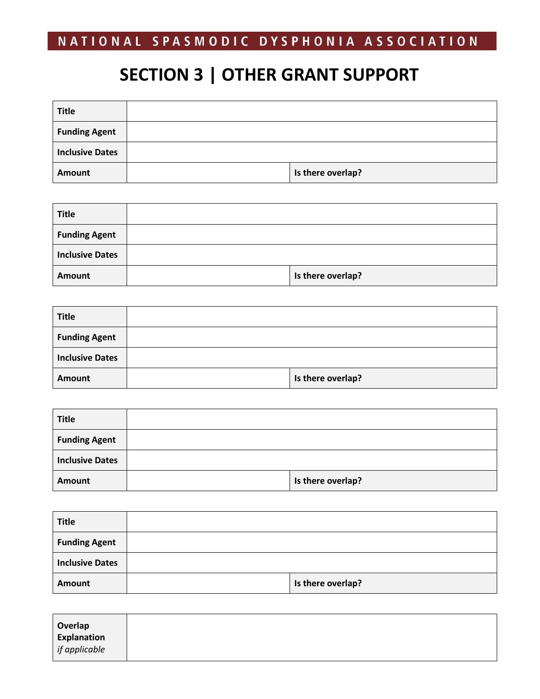## **SECTION 3 | OTHER GRANT SUPPORT**

| <b>Title</b>           |                   |
|------------------------|-------------------|
| <b>Funding Agent</b>   |                   |
| <b>Inclusive Dates</b> |                   |
| Amount                 | Is there overlap? |

| <b>Title</b>           |                   |
|------------------------|-------------------|
| <b>Funding Agent</b>   |                   |
| <b>Inclusive Dates</b> |                   |
| Amount                 | Is there overlap? |

| <b>Title</b>           |                   |
|------------------------|-------------------|
| <b>Funding Agent</b>   |                   |
| <b>Inclusive Dates</b> |                   |
| Amount                 | Is there overlap? |

| <b>Title</b>           |                   |
|------------------------|-------------------|
| <b>Funding Agent</b>   |                   |
| <b>Inclusive Dates</b> |                   |
| Amount                 | Is there overlap? |

| <b>Title</b>           |                   |
|------------------------|-------------------|
| <b>Funding Agent</b>   |                   |
| <b>Inclusive Dates</b> |                   |
| Amount                 | Is there overlap? |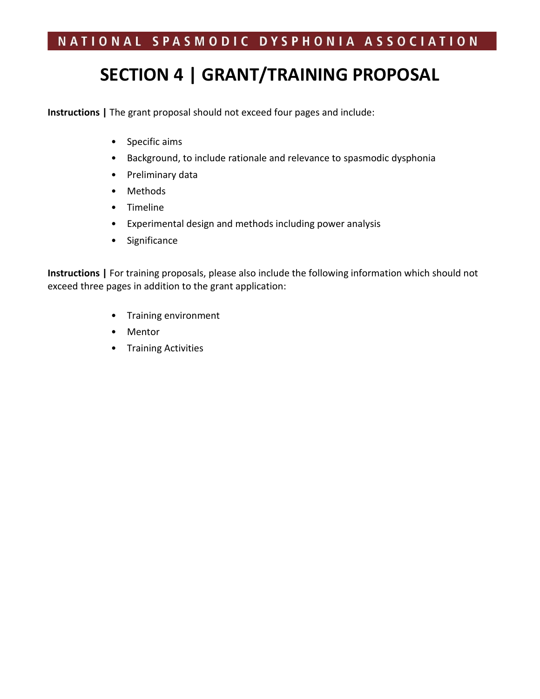## **SECTION 4 | GRANT/TRAINING PROPOSAL**

**Instructions |** The grant proposal should not exceed four pages and include:

- Specific aims
- Background, to include rationale and relevance to spasmodic dysphonia
- Preliminary data
- Methods
- Timeline
- Experimental design and methods including power analysis
- Significance

**Instructions |** For training proposals, please also include the following information which should not exceed three pages in addition to the grant application:

- Training environment
- Mentor
- Training Activities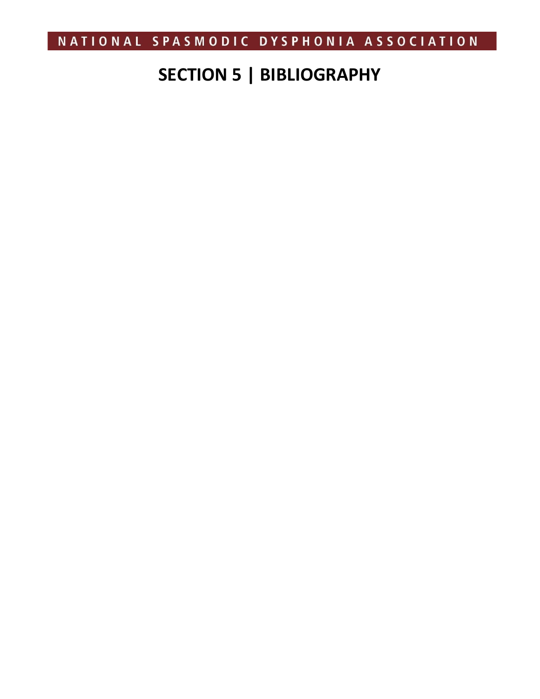# **SECTION 5 | BIBLIOGRAPHY**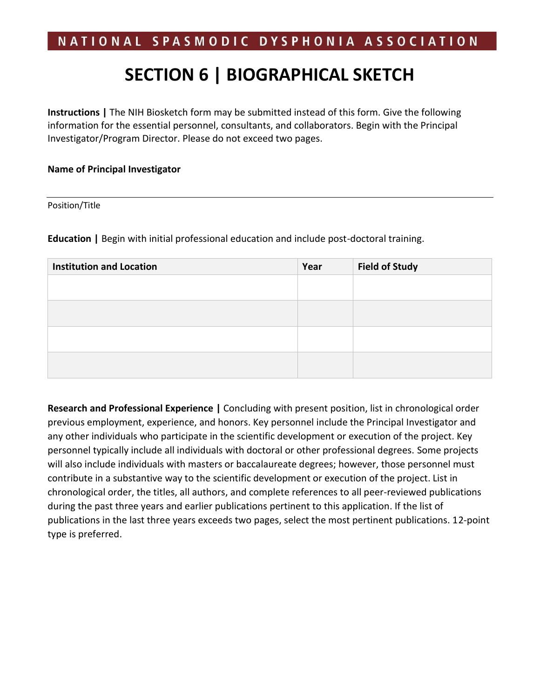## **SECTION 6 | BIOGRAPHICAL SKETCH**

**Instructions |** The NIH Biosketch form may be submitted instead of this form. Give the following information for the essential personnel, consultants, and collaborators. Begin with the Principal Investigator/Program Director. Please do not exceed two pages.

#### **Name of Principal Investigator**

#### Position/Title

**Education |** Begin with initial professional education and include post-doctoral training.

| <b>Institution and Location</b> | Year | <b>Field of Study</b> |
|---------------------------------|------|-----------------------|
|                                 |      |                       |
|                                 |      |                       |
|                                 |      |                       |
|                                 |      |                       |
|                                 |      |                       |

**Research and Professional Experience |** Concluding with present position, list in chronological order previous employment, experience, and honors. Key personnel include the Principal Investigator and any other individuals who participate in the scientific development or execution of the project. Key personnel typically include all individuals with doctoral or other professional degrees. Some projects will also include individuals with masters or baccalaureate degrees; however, those personnel must contribute in a substantive way to the scientific development or execution of the project. List in chronological order, the titles, all authors, and complete references to all peer-reviewed publications during the past three years and earlier publications pertinent to this application. If the list of publications in the last three years exceeds two pages, select the most pertinent publications. 12-point type is preferred.